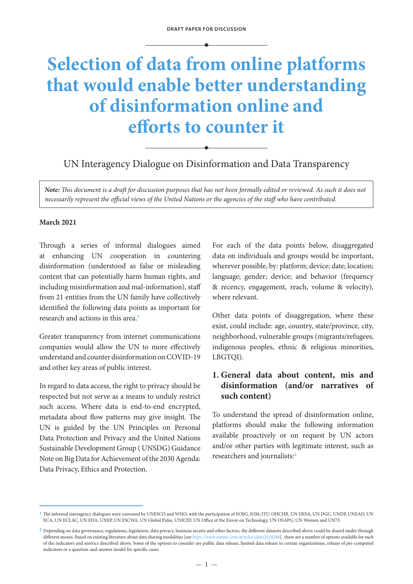# **Selection of data from online platforms that would enable better understanding of disinformation online and efforts to counter it**

UN Interagency Dialogue on Disinformation and Data Transparency

*Note: This document is a draft for discussion purposes that has not been formally edited or reviewed. As such it does not necessarily represent the official views of the United Nations or the agencies of the staff who have contributed.*

#### **March 2021**

Through a series of informal dialogues aimed at enhancing UN cooperation in countering disinformation (understood as false or misleading content that can potentially harm human rights, and including misinformation and mal-information), staff from 21 entities from the UN family have collectively identified the following data points as important for research and actions in this area.**<sup>1</sup>**

Greater transparency from internet communications companies would allow the UN to more effectively understand and counter disinformation on COVID-19 and other key areas of public interest.

In regard to data access, the right to privacy should be respected but not serve as a means to unduly restrict such access. Where data is end-to-end encrypted, metadata about flow patterns may give insight. The UN is guided by the UN Principles on Personal Data Protection and Privacy and the United Nations Sustainable Development Group ( UNSDG) Guidance Note on Big Data for Achievement of the 2030 Agenda: Data Privacy, Ethics and Protection.

For each of the data points below, disaggregated data on individuals and groups would be important, wherever possible, by: platform; device; date; location; language; gender; device; and behavior (frequency & recency, engagement, reach, volume & velocity), where relevant.

Other data points of disaggregation, where these exist, could include: age, country, state/province, city, neighborhood, vulnerable groups (migrants/refugees, indigenous peoples, ethnic & religious minorities, LBGTQI).

## **1. General data about content, mis and disinformation (and/or narratives of such content)**

To understand the spread of disinformation online, platforms should make the following information available proactively or on request by UN actors and/or other parties with legitimate interest, such as researchers and journalists:**<sup>2</sup>**

**<sup>1</sup>** The informal interagency dialogues were convened by UNESCO and WHO, with the participation of EOSG, IOM, ITU, OHCHR, UN DESA, UN DGC, UNDP, UNEAD, UN ECA, UN ECLAC, UN EDA, UNEP, UN ESCWA, UN Global Pulse, UNICEF, UN Office of the Envoy on Technology, UN OSAPG, UN Women and UN75.

**<sup>2</sup>** Depending on data governance, regulations, legislation, data privacy, business secrets and other factors, the different datasets described above could be shared under through different means. Based on existing literature about data sharing modalities [see *<https://www.nature.com/articles/sdata2018286>*] , there are a number of options available for each of the indicators and metrics described above. Some of the options to consider are public data release, limited data release to certain organizations, release of pre-computed indicators or a question-and-answer model for specific cases.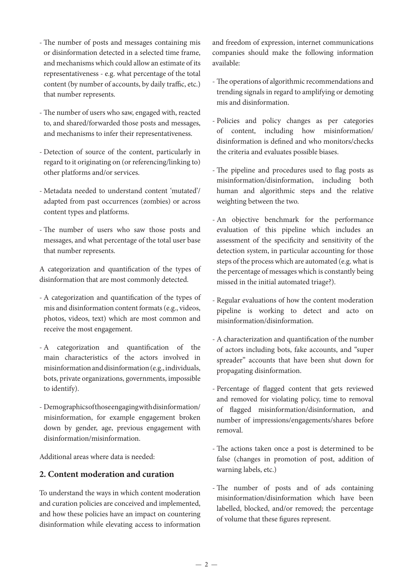- The number of posts and messages containing mis or disinformation detected in a selected time frame, and mechanisms which could allow an estimate of its representativeness - e.g. what percentage of the total content (by number of accounts, by daily traffic, etc.) that number represents.
- The number of users who saw, engaged with, reacted to, and shared/forwarded those posts and messages, and mechanisms to infer their representativeness.
- Detection of source of the content, particularly in regard to it originating on (or referencing/linking to) other platforms and/or services.
- Metadata needed to understand content 'mutated'/ adapted from past occurrences (zombies) or across content types and platforms.
- The number of users who saw those posts and messages, and what percentage of the total user base that number represents.

A categorization and quantification of the types of disinformation that are most commonly detected.

- A categorization and quantification of the types of mis and disinformation content formats (e.g., videos, photos, videos, text) which are most common and receive the most engagement.
- A categorization and quantification of the main characteristics of the actors involved in misinformation and disinformation (e.g., individuals, bots, private organizations, governments, impossible to identify).
- Demographics of those engaging with disinformation/ misinformation, for example engagement broken down by gender, age, previous engagement with disinformation/misinformation.

Additional areas where data is needed:

### **2. Content moderation and curation**

To understand the ways in which content moderation and curation policies are conceived and implemented, and how these policies have an impact on countering disinformation while elevating access to information

and freedom of expression, internet communications companies should make the following information available:

- The operations of algorithmic recommendations and trending signals in regard to amplifying or demoting mis and disinformation.
- Policies and policy changes as per categories of content, including how misinformation/ disinformation is defined and who monitors/checks the criteria and evaluates possible biases.
- The pipeline and procedures used to flag posts as misinformation/disinformation, including both human and algorithmic steps and the relative weighting between the two.
- An objective benchmark for the performance evaluation of this pipeline which includes an assessment of the specificity and sensitivity of the detection system, in particular accounting for those steps of the process which are automated (e.g. what is the percentage of messages which is constantly being missed in the initial automated triage?).
- Regular evaluations of how the content moderation pipeline is working to detect and acto on misinformation/disinformation.
- A characterization and quantification of the number of actors including bots, fake accounts, and "super spreader" accounts that have been shut down for propagating disinformation.
- Percentage of flagged content that gets reviewed and removed for violating policy, time to removal of flagged misinformation/disinformation, and number of impressions/engagements/shares before removal.
- The actions taken once a post is determined to be false (changes in promotion of post, addition of warning labels, etc.)
- The number of posts and of ads containing misinformation/disinformation which have been labelled, blocked, and/or removed; the percentage of volume that these figures represent.